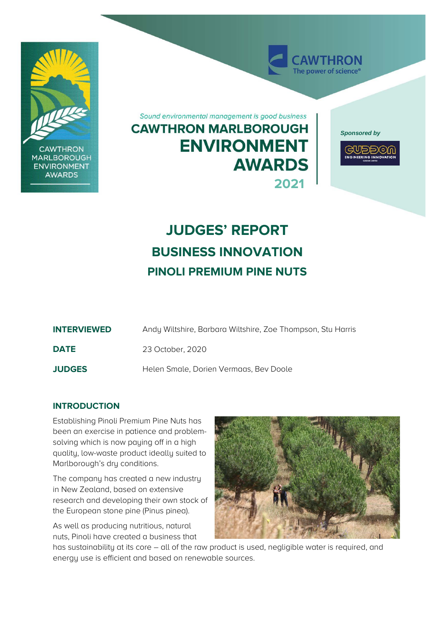

# **JUDGES' REPORT BUSINESS INNOVATION PINOLI PREMIUM PINE NUTS**

| <b>INTERVIEWED</b> | Andy Wiltshire, Barbara Wiltshire, Zoe Thompson, Stu Harris |
|--------------------|-------------------------------------------------------------|
| <b>DATE</b>        | 23 October, 2020                                            |
| <b>JUDGES</b>      | Helen Smale, Dorien Vermaas, Bey Doole                      |

# **INTRODUCTION**

Establishing Pinoli Premium Pine Nuts has been an exercise in patience and problemsolving which is now paying off in a high quality, low-waste product ideally suited to Marlborough's dry conditions.

The company has created a new industry in New Zealand, based on extensive research and developing their own stock of the European stone pine (Pinus pinea).

As well as producing nutritious, natural nuts, Pinoli have created a business that



has sustainability at its core – all of the raw product is used, negligible water is required, and energy use is efficient and based on renewable sources.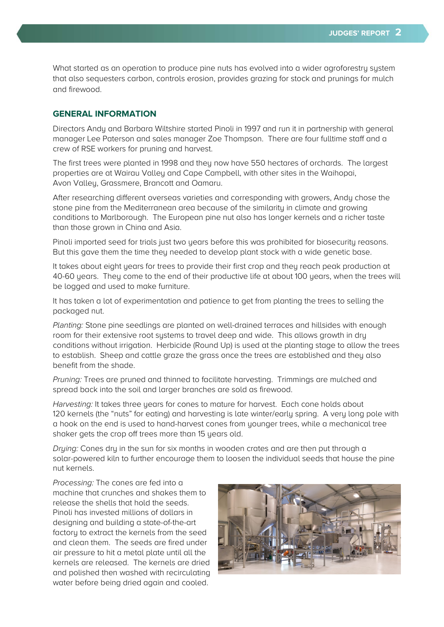What started as an operation to produce pine nuts has evolved into a wider agroforestry system that also sequesters carbon, controls erosion, provides grazing for stock and prunings for mulch and firewood.

# **GENERAL INFORMATION**

Directors Andy and Barbara Wiltshire started Pinoli in 1997 and run it in partnership with general manager Lee Paterson and sales manager Zoe Thompson. There are four fulltime staff and a crew of RSE workers for pruning and harvest.

The first trees were planted in 1998 and they now have 550 hectares of orchards. The largest properties are at Wairau Valley and Cape Campbell, with other sites in the Waihopai, Avon Valley, Grassmere, Brancott and Oamaru.

After researching different overseas varieties and corresponding with growers, Andy chose the stone pine from the Mediterranean area because of the similarity in climate and growing conditions to Marlborough. The European pine nut also has longer kernels and a richer taste than those grown in China and Asia.

Pinoli imported seed for trials just two years before this was prohibited for biosecurity reasons. But this gave them the time they needed to develop plant stock with a wide genetic base.

It takes about eight years for trees to provide their first crop and they reach peak production at 40-60 years. They come to the end of their productive life at about 100 years, when the trees will be logged and used to make furniture.

It has taken a lot of experimentation and patience to get from planting the trees to selling the packaged nut.

Planting: Stone pine seedlings are planted on well-drained terraces and hillsides with enough room for their extensive root systems to travel deep and wide. This allows growth in dry conditions without irrigation. Herbicide (Round Up) is used at the planting stage to allow the trees to establish. Sheep and cattle graze the grass once the trees are established and they also benefit from the shade.

Pruning: Trees are pruned and thinned to facilitate harvesting. Trimmings are mulched and spread back into the soil and larger branches are sold as firewood.

Harvesting: It takes three years for cones to mature for harvest. Each cone holds about 120 kernels (the "nuts" for eating) and harvesting is late winter/early spring. A very long pole with a hook on the end is used to hand-harvest cones from younger trees, while a mechanical tree shaker gets the crop off trees more than 15 years old.

Drying: Cones dry in the sun for six months in wooden crates and are then put through a solar-powered kiln to further encourage them to loosen the individual seeds that house the pine nut kernels.

Processing: The cones are fed into a machine that crunches and shakes them to release the shells that hold the seeds. Pinoli has invested millions of dollars in designing and building a state-of-the-art factory to extract the kernels from the seed and clean them. The seeds are fired under air pressure to hit a metal plate until all the kernels are released. The kernels are dried and polished then washed with recirculating water before being dried again and cooled.

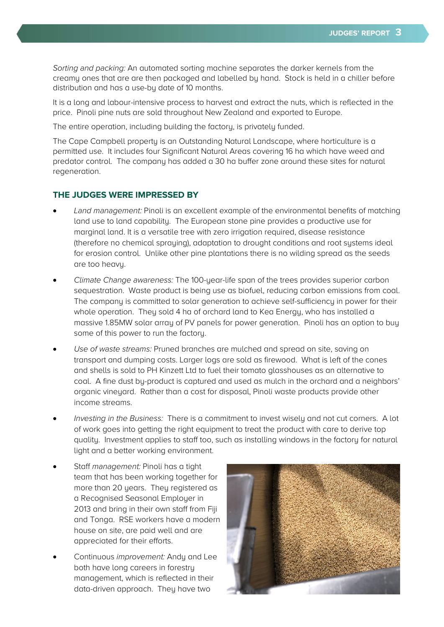Sorting and packing: An automated sorting machine separates the darker kernels from the creamy ones that are are then packaged and labelled by hand. Stock is held in a chiller before distribution and has a use-by date of 10 months.

It is a long and labour-intensive process to harvest and extract the nuts, which is reflected in the price. Pinoli pine nuts are sold throughout New Zealand and exported to Europe.

The entire operation, including building the factory, is privately funded.

The Cape Campbell property is an Outstanding Natural Landscape, where horticulture is a permitted use. It includes four Significant Natural Areas covering 16 ha which have weed and predator control. The company has added a 30 ha buffer zone around these sites for natural regeneration.

# **THE JUDGES WERE IMPRESSED BY**

- Land management: Pinoli is an excellent example of the environmental benefits of matching land use to land capability. The European stone pine provides a productive use for marginal land. It is a versatile tree with zero irrigation required, disease resistance (therefore no chemical spraying), adaptation to drought conditions and root systems ideal for erosion control. Unlike other pine plantations there is no wilding spread as the seeds are too heavy.
- Climate Change awareness: The 100-year-life span of the trees provides superior carbon sequestration. Waste product is being use as biofuel, reducing carbon emissions from coal. The company is committed to solar generation to achieve self-sufficiency in power for their whole operation. They sold 4 ha of orchard land to Kea Energy, who has installed a massive 1.85MW solar array of PV panels for power generation. Pinoli has an option to buy some of this power to run the factory.
- Use of waste streams: Pruned branches are mulched and spread on site, saving on transport and dumping costs. Larger logs are sold as firewood. What is left of the cones and shells is sold to PH Kinzett Ltd to fuel their tomato glasshouses as an alternative to coal. A fine dust by-product is captured and used as mulch in the orchard and a neighbors' organic vineyard. Rather than a cost for disposal, Pinoli waste products provide other income streams.
- Investing in the Business: There is a commitment to invest wisely and not cut corners. A lot of work goes into getting the right equipment to treat the product with care to derive top quality. Investment applies to staff too, such as installing windows in the factory for natural light and a better working environment.
- Staff management: Pinoli has a tight team that has been working together for more than 20 years. They registered as a Recognised Seasonal Employer in 2013 and bring in their own staff from Fiji and Tonga. RSE workers have a modern house on site, are paid well and are appreciated for their efforts.
- Continuous improvement: Andy and Lee both have long careers in forestry management, which is reflected in their data-driven approach. They have two

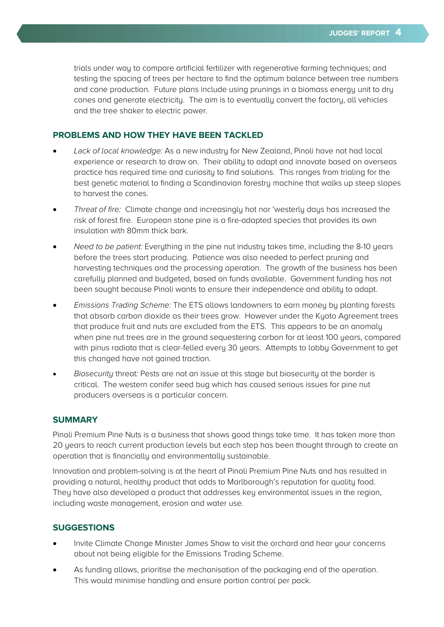trials under way to compare artificial fertilizer with regenerative farming techniques; and testing the spacing of trees per hectare to find the optimum balance between tree numbers and cone production. Future plans include using prunings in a biomass energy unit to dry cones and generate electricity. The aim is to eventually convert the factory, all vehicles and the tree shaker to electric power.

# **PROBLEMS AND HOW THEY HAVE BEEN TACKLED**

- Lack of local knowledge: As a new industry for New Zealand, Pinoli have not had local experience or research to draw on. Their ability to adapt and innovate based on overseas practice has required time and curiosity to find solutions. This ranges from trialing for the best genetic material to finding a Scandinavian forestry machine that walks up steep slopes to harvest the cones.
- Threat of fire: Climate change and increasingly hot nor 'westerly days has increased the risk of forest fire. European stone pine is a fire-adapted species that provides its own insulation with 80mm thick bark.
- Need to be patient: Everything in the pine nut industry takes time, including the 8-10 years before the trees start producing. Patience was also needed to perfect pruning and harvesting techniques and the processing operation. The growth of the business has been carefully planned and budgeted, based on funds available. Government funding has not been sought because Pinoli wants to ensure their independence and ability to adapt.
- Emissions Trading Scheme: The ETS allows landowners to earn money by planting forests that absorb carbon dioxide as their trees grow. However under the Kyoto Agreement trees that produce fruit and nuts are excluded from the ETS. This appears to be an anomaly when pine nut trees are in the ground sequestering carbon for at least 100 years, compared with pinus radiata that is clear-felled every 30 years. Attempts to lobby Government to get this changed have not gained traction.
- Biosecurity threat: Pests are not an issue at this stage but biosecurity at the border is critical. The western conifer seed bug which has caused serious issues for pine nut producers overseas is a particular concern.

### **SUMMARY**

Pinoli Premium Pine Nuts is a business that shows good things take time. It has taken more than 20 years to reach current production levels but each step has been thought through to create an operation that is financially and environmentally sustainable.

Innovation and problem-solving is at the heart of Pinoli Premium Pine Nuts and has resulted in providing a natural, healthy product that adds to Marlborough's reputation for quality food. They have also developed a product that addresses key environmental issues in the region, including waste management, erosion and water use.

#### **SUGGESTIONS**

- Invite Climate Change Minister James Shaw to visit the orchard and hear your concerns about not being eligible for the Emissions Trading Scheme.
- As funding allows, prioritise the mechanisation of the packaging end of the operation. This would minimise handling and ensure portion control per pack.